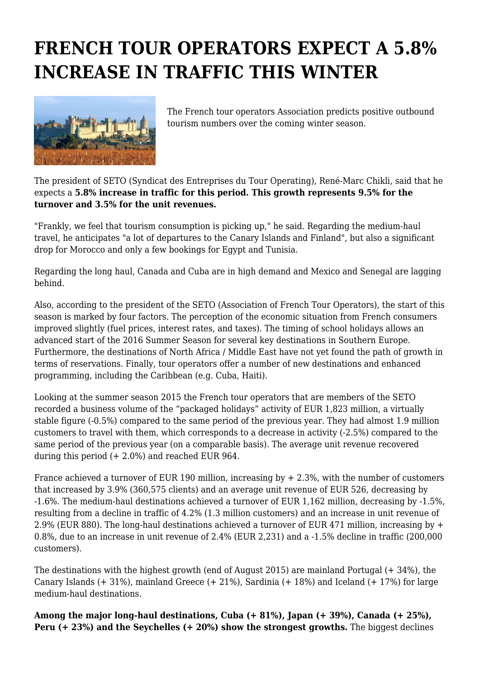## **FRENCH TOUR OPERATORS EXPECT A 5.8% INCREASE IN TRAFFIC THIS WINTER**



The French tour operators Association predicts positive outbound tourism numbers over the coming winter season.

The president of SETO (Syndicat des Entreprises du Tour Operating), René-Marc Chikli, said that he expects a **5.8% increase in traffic for this period. This growth represents 9.5% for the turnover and 3.5% for the unit revenues.**

"Frankly, we feel that tourism consumption is picking up," he said. Regarding the medium-haul travel, he anticipates "a lot of departures to the Canary Islands and Finland", but also a significant drop for Morocco and only a few bookings for Egypt and Tunisia.

Regarding the long haul, Canada and Cuba are in high demand and Mexico and Senegal are lagging behind.

Also, according to the president of the SETO (Association of French Tour Operators), the start of this season is marked by four factors. The perception of the economic situation from French consumers improved slightly (fuel prices, interest rates, and taxes). The timing of school holidays allows an advanced start of the 2016 Summer Season for several key destinations in Southern Europe. Furthermore, the destinations of North Africa / Middle East have not yet found the path of growth in terms of reservations. Finally, tour operators offer a number of new destinations and enhanced programming, including the Caribbean (e.g. Cuba, Haiti).

Looking at the summer season 2015 the French tour operators that are members of the SETO recorded a business volume of the "packaged holidays" activity of EUR 1,823 million, a virtually stable figure (-0.5%) compared to the same period of the previous year. They had almost 1.9 million customers to travel with them, which corresponds to a decrease in activity (-2.5%) compared to the same period of the previous year (on a comparable basis). The average unit revenue recovered during this period  $(+ 2.0\%)$  and reached EUR 964.

France achieved a turnover of EUR 190 million, increasing by + 2.3%, with the number of customers that increased by 3.9% (360,575 clients) and an average unit revenue of EUR 526, decreasing by -1.6%. The medium-haul destinations achieved a turnover of EUR 1,162 million, decreasing by -1.5%, resulting from a decline in traffic of 4.2% (1.3 million customers) and an increase in unit revenue of 2.9% (EUR 880). The long-haul destinations achieved a turnover of EUR 471 million, increasing by + 0.8%, due to an increase in unit revenue of 2.4% (EUR 2,231) and a -1.5% decline in traffic (200,000 customers).

The destinations with the highest growth (end of August 2015) are mainland Portugal (+ 34%), the Canary Islands (+ 31%), mainland Greece (+ 21%), Sardinia (+ 18%) and Iceland (+ 17%) for large medium-haul destinations.

**Among the major long-haul destinations, Cuba (+ 81%), Japan (+ 39%), Canada (+ 25%), Peru (+ 23%) and the Seychelles (+ 20%) show the strongest growths.** The biggest declines